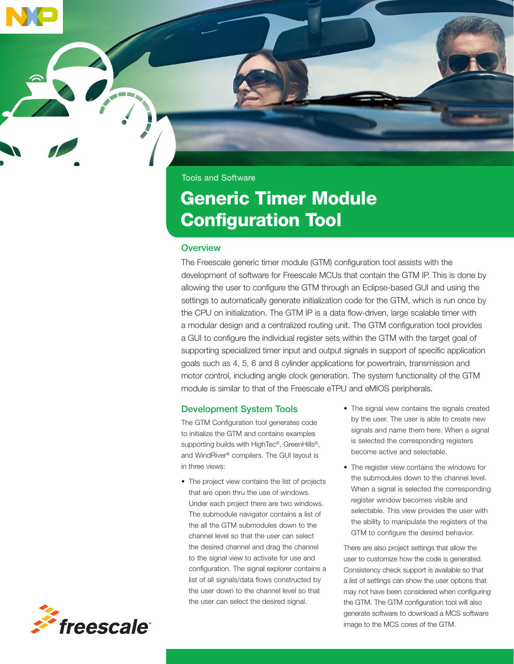

# Generic Timer Module Configuration Tool

#### **Overview**

The Freescale generic timer module (GTM) configuration tool assists with the development of software for Freescale MCUs that contain the GTM IP. This is done by allowing the user to configure the GTM through an Eclipse-based GUI and using the settings to automatically generate initialization code for the GTM, which is run once by the CPU on initialization. The GTM IP is a data flow-driven, large scalable timer with a modular design and a centralized routing unit. The GTM configuration tool provides a GUI to configure the individual register sets within the GTM with the target goal of supporting specialized timer input and output signals in support of specific application goals such as 4, 5, 6 and 8 cylinder applications for powertrain, transmission and motor control, including angle clock generation. The system functionality of the GTM module is similar to that of the Freescale eTPU and eMIOS peripherals.

## Development System Tools

The GTM Configuration tool generates code to initialize the GTM and contains examples supporting builds with HighTec®, GreenHills®, and WindRiver® compilers. The GUI layout is in three views:

- The project view contains the list of projects that are open thru the use of windows. Under each project there are two windows. The submodule navigator contains a list of the all the GTM submodules down to the channel level so that the user can select the desired channel and drag the channel to the signal view to activate for use and configuration. The signal explorer contains a list of all signals/data flows constructed by the user down to the channel level so that the user can select the desired signal.
- The signal view contains the signals created by the user. The user is able to create new signals and name them here. When a signal is selected the corresponding registers become active and selectable.
- The register view contains the windows for the submodules down to the channel level. When a signal is selected the corresponding register window becomes visible and selectable. This view provides the user with the ability to manipulate the registers of the GTM to configure the desired behavior.

There are also project settings that allow the user to customize how the code is generated. Consistency check support is available so that a list of settings can show the user options that may not have been considered when configuring the GTM. The GTM configuration tool will also generate software to download a MCS software image to the MCS cores of the GTM.